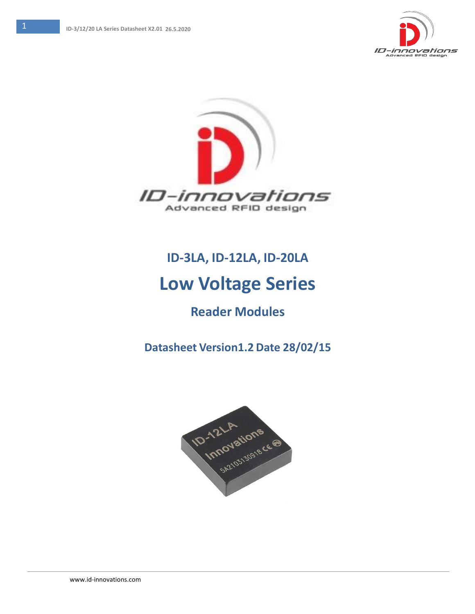



# **ID-3LA, ID-12LA, ID-20LA**

# **Low Voltage Series**

# **Reader Modules**

**Datasheet Version1.2 Date 28/02/15**

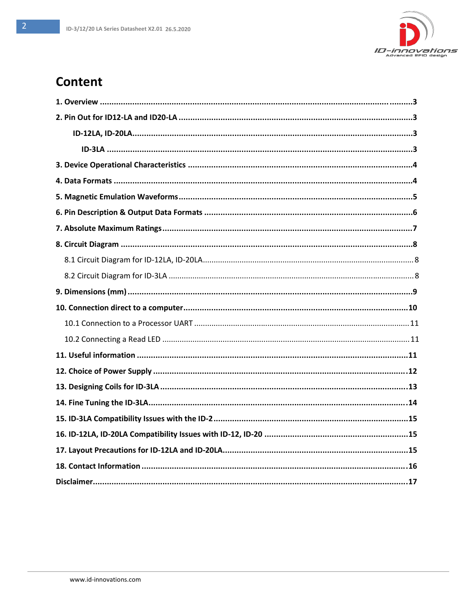

## **Content**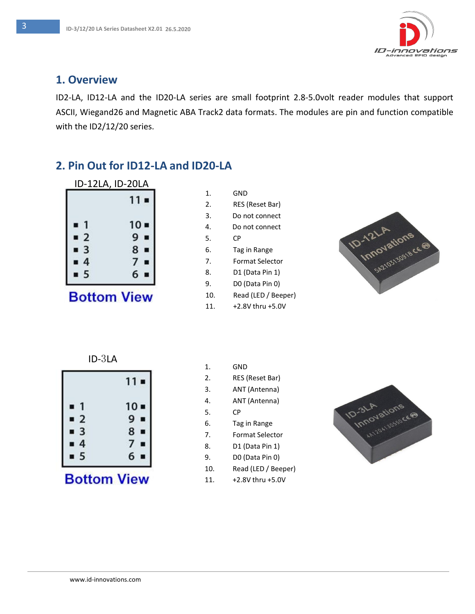

#### **1. Overview**

ID2-LA, ID12-LA and the ID20-LA series are small footprint 2.8-5.0volt reader modules that support ASCII, Wiegand26 and Magnetic ABA Track2 data formats. The modules are pin and function compatible with the ID2/12/20 series.

### **2. Pin Out for ID12-LA and ID20-LA**

|                              | ID-12LA, ID-20LA |
|------------------------------|------------------|
|                              | $11 -$           |
| n                            | $10 -$           |
| $-2$                         | 9                |
| $\overline{\mathbf{3}}$<br>п | 8                |
| $\overline{4}$<br>■          |                  |
| 5                            | 6                |

# **Bottom View**

| 1.               | GND                 |
|------------------|---------------------|
| $\mathfrak{D}$ . | RES (Reset Bar)     |
| 3.               | Do not connect      |
| 4.               | Do not connect      |
| 5.               | СP                  |
| 6.               | Tag in Range        |
| 7.               | Format Selector     |
| 8.               | D1 (Data Pin 1)     |
| 9.               | D0 (Data Pin 0)     |
| 10.              | Read (LED / Beeper) |
| 11               | +2 8V thru +5 0V    |





|                         | $11 -$ |
|-------------------------|--------|
| 1                       | $10 -$ |
| $\overline{\mathbf{2}}$ | 9      |
|                         | п      |
| 3                       | 8      |
| ٠                       | п      |
| 4                       | 7      |
| г                       | п      |
| 5                       | 6      |
| Ù                       | ī      |

**Bottom View** 

| 1.  | GND                 |
|-----|---------------------|
| 2.  | RES (Reset Bar)     |
| 3.  | ANT (Antenna)       |
| 4.  | ANT (Antenna)       |
| 5.  | СP                  |
| 6.  | Tag in Range        |
| 7.  | Format Selector     |
| 8.  | D1 (Data Pin 1)     |
| 9.  | DO (Data Pin 0)     |
| 10. | Read (LED / Beeper) |
| 11. | +2.8V thru +5.0V    |

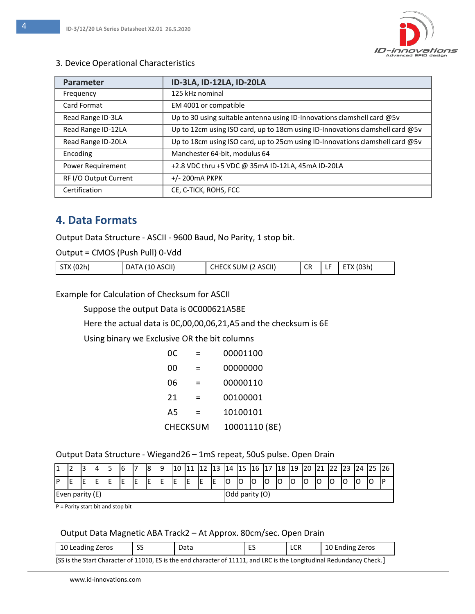

#### 3. Device Operational Characteristics

| <b>Parameter</b>      | ID-3LA, ID-12LA, ID-20LA                                                      |
|-----------------------|-------------------------------------------------------------------------------|
| Frequency             | 125 kHz nominal                                                               |
| Card Format           | EM 4001 or compatible                                                         |
| Read Range ID-3LA     | Up to 30 using suitable antenna using ID-Innovations clamshell card @5v       |
| Read Range ID-12LA    | Up to 12cm using ISO card, up to 18cm using ID-Innovations clamshell card @5v |
| Read Range ID-20LA    | Up to 18cm using ISO card, up to 25cm using ID-Innovations clamshell card @5v |
| Encoding              | Manchester 64-bit, modulus 64                                                 |
| Power Requirement     | +2.8 VDC thru +5 VDC @ 35mA ID-12LA, 45mA ID-20LA                             |
| RF I/O Output Current | $+/- 200$ m $A$ PKPK                                                          |
| Certification         | CE, C-TICK, ROHS, FCC                                                         |

#### **4. Data Formats**

Output Data Structure - ASCII - 9600 Baud, No Parity, 1 stop bit.

Output = CMOS (Push Pull) 0-Vdd

| STX (02h) | DATA (10 ASCII) | CHECK SUM (2 ASCII) | <b>CR</b> | ы. | ETX (03h) |
|-----------|-----------------|---------------------|-----------|----|-----------|
|-----------|-----------------|---------------------|-----------|----|-----------|

Example for Calculation of Checksum for ASCII

Suppose the output Data is 0C000621A58E

Here the actual data is 0C,00,00,06,21,A5 and the checksum is 6E

Using binary we Exclusive OR the bit columns

| 0C.      |   | 00001100      |
|----------|---|---------------|
| 00       |   | 00000000      |
| 06       |   | 00000110      |
| 21       |   | 00100001      |
| A5       | = | 10100101      |
| CHECKSUM |   | 10001110 (8E) |

#### Output Data Structure - Wiegand26 – 1mS repeat, 50uS pulse. Open Drain

|                 |  | з |   |  | 6 | $\overline{\phantom{0}}$ |   | l9 | 10 | <b>++</b> |    | 13 | 14 | 15      | 16 | ⇁<br>17 | 118 | <b>19</b> | 20 | 21 | ∠∠ | 123 |   |   |  |
|-----------------|--|---|---|--|---|--------------------------|---|----|----|-----------|----|----|----|---------|----|---------|-----|-----------|----|----|----|-----|---|---|--|
| Đ               |  | - | - |  | E | IE                       | ┖ | ΙE | E  | ΙE        | ΙE | IE | IО | IΩ<br>ັ | ັ  | IО      | IО  | ١O        | C  | lO | ີ  | O   | ◡ | J |  |
| Even parity (E) |  |   |   |  |   | Odd parity (O)           |   |    |    |           |    |    |    |         |    |         |     |           |    |    |    |     |   |   |  |

P = Parity start bit and stop bit

#### Output Data Magnetic ABA Track2 – At Approx. 80cm/sec. Open Drain

| 10 Leading Zeros                                                                                                  |  | Data | -- | LCR | 10 Ending Zeros |  |  |
|-------------------------------------------------------------------------------------------------------------------|--|------|----|-----|-----------------|--|--|
| ISS is the Start Character of 11010 FS is the end character of 11111 and LRC is the Longitudinal Redundancy Check |  |      |    |     |                 |  |  |

S is the end character of 11111, and LRC is the Longitudinal Redundancy Check.]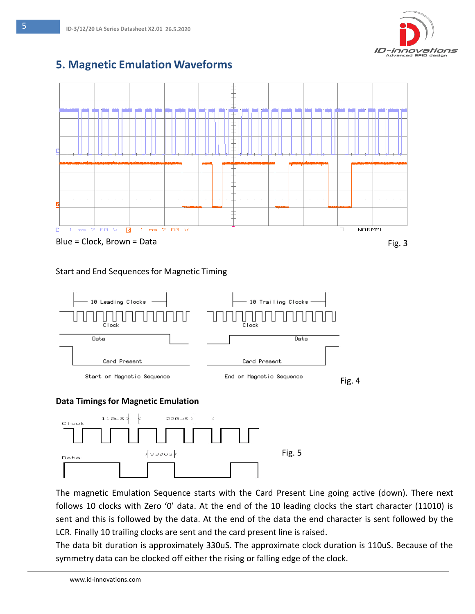

#### **5. Magnetic Emulation Waveforms**



#### Start and End Sequences for Magnetic Timing



#### **Data Timings for Magnetic Emulation**



The magnetic Emulation Sequence starts with the Card Present Line going active (down). There next follows 10 clocks with Zero '0' data. At the end of the 10 leading clocks the start character (11010) is sent and this is followed by the data. At the end of the data the end character is sent followed by the LCR. Finally 10 trailing clocks are sent and the card present line is raised.

The data bit duration is approximately 330uS. The approximate clock duration is 110uS. Because of the symmetry data can be clocked off either the rising or falling edge of the clock.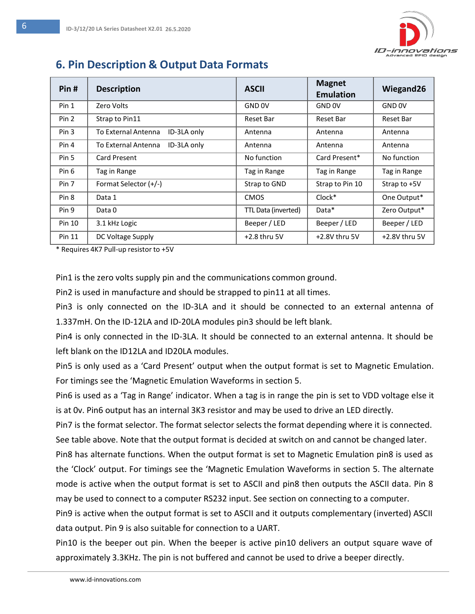

## **6. Pin Description & Output Data Formats**

| Pin#   | <b>Description</b>                 | <b>ASCII</b>        | <b>Magnet</b><br><b>Emulation</b> | Wiegand26         |
|--------|------------------------------------|---------------------|-----------------------------------|-------------------|
| Pin 1  | Zero Volts                         | GND <sub>OV</sub>   | GND 0V                            | GND <sub>OV</sub> |
| Pin 2  | Strap to Pin11                     | Reset Bar           | Reset Bar                         | Reset Bar         |
| Pin 3  | ID-3LA only<br>To External Antenna | Antenna             | Antenna                           | Antenna           |
| Pin 4  | ID-3LA only<br>To External Antenna | Antenna             | Antenna                           | Antenna           |
| Pin 5  | <b>Card Present</b>                | No function         | Card Present*                     | No function       |
| Pin 6  | Tag in Range                       | Tag in Range        | Tag in Range                      | Tag in Range      |
| Pin 7  | Format Selector (+/-)              | Strap to GND        | Strap to Pin 10                   | Strap to +5V      |
| Pin 8  | Data 1                             | <b>CMOS</b>         | Clock*                            | One Output*       |
| Pin 9  | Data 0                             | TTL Data (inverted) | Data*                             | Zero Output*      |
| Pin 10 | 3.1 kHz Logic                      | Beeper / LED        | Beeper / LED                      | Beeper / LED      |
| Pin 11 | DC Voltage Supply                  | $+2.8$ thru 5V      | +2.8V thru 5V                     | $+2.8V$ thru 5V   |

\* Requires 4K7 Pull-up resistor to +5V

Pin1 is the zero volts supply pin and the communications common ground.

Pin2 is used in manufacture and should be strapped to pin11 at all times.

Pin3 is only connected on the ID-3LA and it should be connected to an external antenna of 1.337mH. On the ID-12LA and ID-20LA modules pin3 should be left blank.

Pin4 is only connected in the ID-3LA. It should be connected to an external antenna. It should be left blank on the ID12LA and ID20LA modules.

Pin5 is only used as a 'Card Present' output when the output format is set to Magnetic Emulation. For timings see the 'Magnetic Emulation Waveforms in section 5.

Pin6 is used as a 'Tag in Range' indicator. When a tag is in range the pin is set to VDD voltage else it is at 0v. Pin6 output has an internal 3K3 resistor and may be used to drive an LED directly.

Pin7 is the format selector. The format selector selects the format depending where it is connected. See table above. Note that the output format is decided at switch on and cannot be changed later.

Pin8 has alternate functions. When the output format is set to Magnetic Emulation pin8 is used as the 'Clock' output. For timings see the 'Magnetic Emulation Waveforms in section 5. The alternate mode is active when the output format is set to ASCII and pin8 then outputs the ASCII data. Pin 8 may be used to connect to a computer RS232 input. See section on connecting to a computer.

Pin9 is active when the output format is set to ASCII and it outputs complementary (inverted) ASCII data output. Pin 9 is also suitable for connection to a UART.

Pin10 is the beeper out pin. When the beeper is active pin10 delivers an output square wave of approximately 3.3KHz. The pin is not buffered and cannot be used to drive a beeper directly.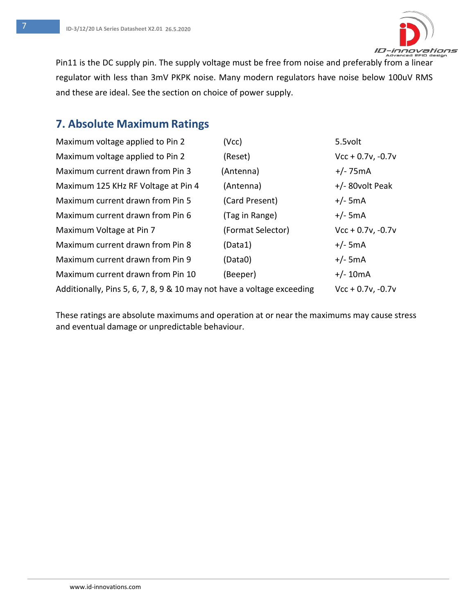

Pin11 is the DC supply pin. The supply voltage must be free from noise and preferably from a linear regulator with less than 3mV PKPK noise. Many modern regulators have noise below 100uV RMS and these are ideal. See the section on choice of power supply.

## **7. Absolute Maximum Ratings**

| Maximum voltage applied to Pin 2                                       | (Vcc)             | 5.5volt             |
|------------------------------------------------------------------------|-------------------|---------------------|
| Maximum voltage applied to Pin 2                                       | (Reset)           | $Vcc + 0.7v, -0.7v$ |
| Maximum current drawn from Pin 3                                       | (Antenna)         | $+/- 75mA$          |
| Maximum 125 KHz RF Voltage at Pin 4                                    | (Antenna)         | $+/-$ 80volt Peak   |
| Maximum current drawn from Pin 5                                       | (Card Present)    | $+/-$ 5mA           |
| Maximum current drawn from Pin 6                                       | (Tag in Range)    | $+/-$ 5mA           |
| Maximum Voltage at Pin 7                                               | (Format Selector) | $Vcc + 0.7v, -0.7v$ |
| Maximum current drawn from Pin 8                                       | (Data1)           | $+/-$ 5mA           |
| Maximum current drawn from Pin 9                                       | (Data0)           | $+/-$ 5mA           |
| Maximum current drawn from Pin 10                                      | (Beeper)          | $+/- 10mA$          |
| Additionally, Pins 5, 6, 7, 8, 9 & 10 may not have a voltage exceeding |                   | $Vcc + 0.7v, -0.7v$ |

These ratings are absolute maximums and operation at or near the maximums may cause stress and eventual damage or unpredictable behaviour.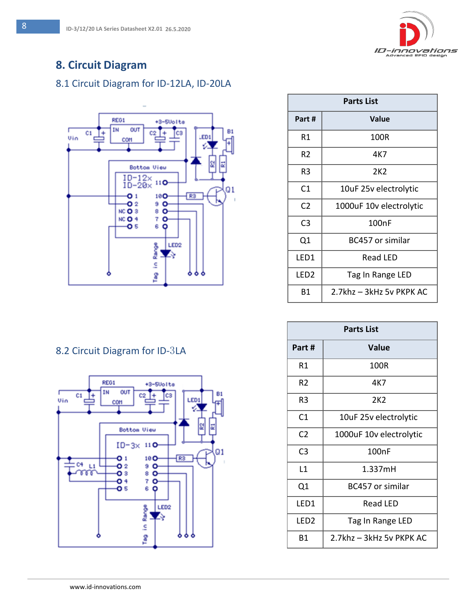

## **8. Circuit Diagram**

#### 8.1 Circuit Diagram for ID-12LA, ID-20LA



|  |  | 8.2 Circuit Diagram for ID-3LA |  |  |
|--|--|--------------------------------|--|--|
|--|--|--------------------------------|--|--|



| <b>Parts List</b> |                          |  |  |
|-------------------|--------------------------|--|--|
| Part #            | Value                    |  |  |
| R1                | 100R                     |  |  |
| R2                | 4K7                      |  |  |
| R3                | 2K2                      |  |  |
| C1                | 10uF 25v electrolytic    |  |  |
| C <sub>2</sub>    | 1000uF 10v electrolytic  |  |  |
| C <sub>3</sub>    | 100nF                    |  |  |
| Q1                | BC457 or similar         |  |  |
| LED1              | Read LED                 |  |  |
| LED <sub>2</sub>  | Tag In Range LED         |  |  |
| Β1                | 2.7khz - 3kHz 5v PKPK AC |  |  |

| <b>Parts List</b> |                          |  |  |
|-------------------|--------------------------|--|--|
| Part #            | Value                    |  |  |
| R1                | 100R                     |  |  |
| R <sub>2</sub>    | 4K7                      |  |  |
| R3                | 2K <sub>2</sub>          |  |  |
| C1                | 10uF 25v electrolytic    |  |  |
| C <sub>2</sub>    | 1000uF 10v electrolytic  |  |  |
| C3                | 100nF                    |  |  |
| l 1               | 1.337mH                  |  |  |
| Q1                | BC457 or similar         |  |  |
| LED1              | <b>Read LED</b>          |  |  |
| LED <sub>2</sub>  | Tag In Range LED         |  |  |
| Β1                | 2.7khz - 3kHz 5v PKPK AC |  |  |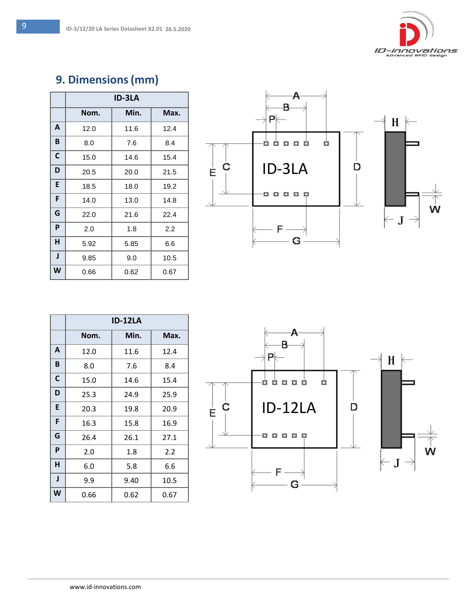# **9. Dimensions(mm)**

|   | ID-3LA |      |      |
|---|--------|------|------|
|   | Nom.   | Min. | Max. |
| A | 12.0   | 11.6 | 12.4 |
| B | 8.0    | 7.6  | 8.4  |
| C | 15.0   | 14.6 | 15.4 |
| D | 20.5   | 20.0 | 21.5 |
| E | 18.5   | 18.0 | 19.2 |
| F | 14.0   | 13.0 | 14.8 |
| G | 22.0   | 21.6 | 22.4 |
| P | 2.0    | 1.8  | 2.2  |
| н | 5.92   | 5.85 | 6.6  |
| J | 9.85   | 9.0  | 10.5 |
| W | 0.66   | 0.62 | 0.67 |



|   | ID-12LA |      |      |
|---|---------|------|------|
|   | Nom.    | Min. | Max. |
| A | 12.0    | 11.6 | 12.4 |
| B | 8.0     | 7.6  | 8.4  |
| C | 15.0    | 14.6 | 15.4 |
| D | 25.3    | 24.9 | 25.9 |
| E | 20.3    | 19.8 | 20.9 |
| F | 16.3    | 15.8 | 16.9 |
| G | 26.4    | 26.1 | 27.1 |
| P | 2.0     | 1.8  | 2.2  |
| н | 6.0     | 5.8  | 6.6  |
| J | 9.9     | 9.40 | 10.5 |
| W | 0.66    | 0.62 | 0.67 |

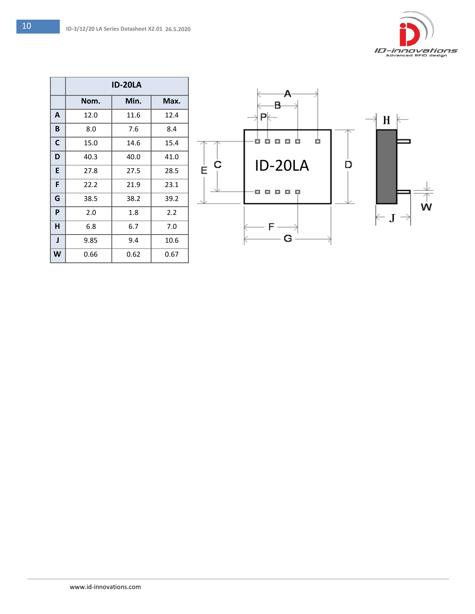|   | <b>ID-20LA</b> |      |      |
|---|----------------|------|------|
|   | Nom.           | Min. | Max. |
| A | 12.0           | 11.6 | 12.4 |
| B | 8.0            | 7.6  | 8.4  |
| C | 15.0           | 14.6 | 15.4 |
| D | 40.3           | 40.0 | 41.0 |
| E | 27.8           | 27.5 | 28.5 |
| F | 22.2           | 21.9 | 23.1 |
| G | 38.5           | 38.2 | 39.2 |
| P | 2.0            | 1.8  | 2.2  |
| н | 6.8            | 6.7  | 7.0  |
| J | 9.85           | 9.4  | 10.6 |
| W | 0.66           | 0.62 | 0.67 |

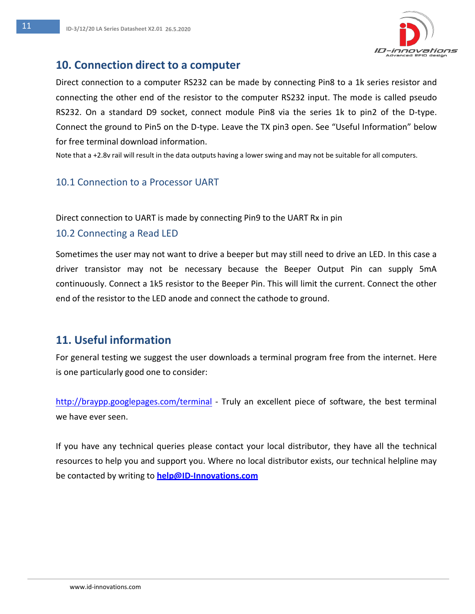

#### **10. Connection direct to a computer**

Direct connection to a computer RS232 can be made by connecting Pin8 to a 1k series resistor and connecting the other end of the resistor to the computer RS232 input. The mode is called pseudo RS232. On a standard D9 socket, connect module Pin8 via the series 1k to pin2 of the D-type. Connect the ground to Pin5 on the D-type. Leave the TX pin3 open. See "Useful Information" below for free terminal download information.

Note that a +2.8v rail will result in the data outputs having a lower swing and may not be suitable for all computers.

#### 10.1 Connection to a Processor UART

Direct connection to UART is made by connecting Pin9 to the UART Rx in pin

#### 10.2 Connecting a Read LED

Sometimes the user may not want to drive a beeper but may still need to drive an LED. In this case a driver transistor may not be necessary because the Beeper Output Pin can supply 5mA continuously. Connect a 1k5 resistor to the Beeper Pin. This will limit the current. Connect the other end of the resistor to the LED anode and connect the cathode to ground.

### **11. Useful information**

For general testing we suggest the user downloads a terminal program free from the internet. Here is one particularly good one to consider:

<http://braypp.googlepages.com/terminal> - Truly an excellent piece of software, the best terminal we have ever seen.

If you have any technical queries please contact your local distributor, they have all the technical resources to help you and support you. Where no local distributor exists, our technical helpline may be contacted by writing to **[help@ID-Innovations.com](mailto:help@ID-Innovations.com)**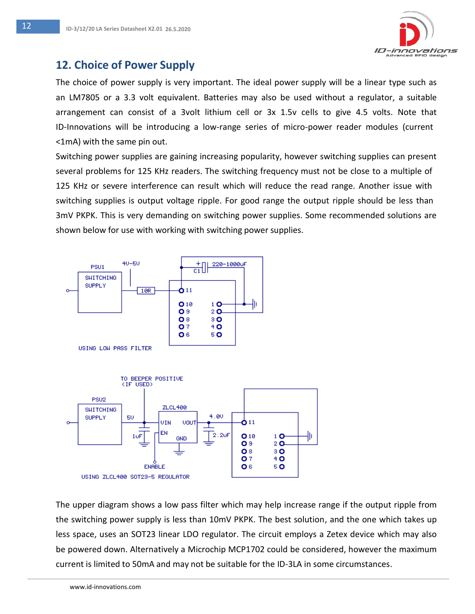

#### **12. Choice of Power Supply**

The choice of power supply is very important. The ideal power supply will be a linear type such as an LM7805 or a 3.3 volt equivalent. Batteries may also be used without a regulator, a suitable arrangement can consist of a 3volt lithium cell or 3x 1.5v cells to give 4.5 volts. Note that ID-Innovations will be introducing a low-range series of micro-power reader modules (current <1mA) with the same pin out.

Switching power supplies are gaining increasing popularity, however switching supplies can present several problems for 125 KHz readers. The switching frequency must not be close to a multiple of 125 KHz or severe interference can result which will reduce the read range. Another issue with switching supplies is output voltage ripple. For good range the output ripple should be less than 3mV PKPK. This is very demanding on switching power supplies. Some recommended solutions are shown below for use with working with switching power supplies.





The upper diagram shows a low pass filter which may help increase range if the output ripple from the switching power supply is less than 10mV PKPK. The best solution, and the one which takes up less space, uses an SOT23 linear LDO regulator. The circuit employs a Zetex device which may also be powered down. Alternatively a Microchip MCP1702 could be considered, however the maximum current is limited to 50mA and may not be suitable for the ID-3LA in some circumstances.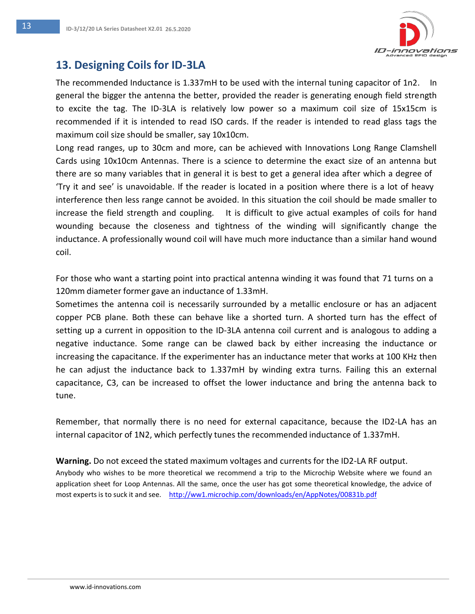

## **13. Designing Coils for ID-3LA**

The recommended Inductance is 1.337mH to be used with the internal tuning capacitor of 1n2. In general the bigger the antenna the better, provided the reader is generating enough field strength to excite the tag. The ID-3LA is relatively low power so a maximum coil size of 15x15cm is recommended if it is intended to read ISO cards. If the reader is intended to read glass tags the maximum coil size should be smaller, say 10x10cm.

Long read ranges, up to 30cm and more, can be achieved with Innovations Long Range Clamshell Cards using 10x10cm Antennas. There is a science to determine the exact size of an antenna but there are so many variables that in general it is best to get a general idea after which a degree of 'Try it and see' is unavoidable. If the reader is located in a position where there is a lot of heavy interference then less range cannot be avoided. In this situation the coil should be made smaller to increase the field strength and coupling. It is difficult to give actual examples of coils for hand wounding because the closeness and tightness of the winding will significantly change the inductance. A professionally wound coil will have much more inductance than a similar hand wound coil.

For those who want a starting point into practical antenna winding it was found that 71 turns on a 120mm diameter former gave an inductance of 1.33mH.

Sometimes the antenna coil is necessarily surrounded by a metallic enclosure or has an adjacent copper PCB plane. Both these can behave like a shorted turn. A shorted turn has the effect of setting up a current in opposition to the ID-3LA antenna coil current and is analogous to adding a negative inductance. Some range can be clawed back by either increasing the inductance or increasing the capacitance. If the experimenter has an inductance meter that works at 100 KHz then he can adjust the inductance back to 1.337mH by winding extra turns. Failing this an external capacitance, C3, can be increased to offset the lower inductance and bring the antenna back to tune.

Remember, that normally there is no need for external capacitance, because the ID2-LA has an internal capacitor of 1N2, which perfectly tunes the recommended inductance of 1.337mH.

**Warning.** Do not exceed the stated maximum voltages and currents for the ID2-LA RF output. Anybody who wishes to be more theoretical we recommend a trip to the Microchip Website where we found an application sheet for Loop Antennas. All the same, once the user has got some theoretical knowledge, the advice of most experts is to suck it and see. <http://ww1.microchip.com/downloads/en/AppNotes/00831b.pdf>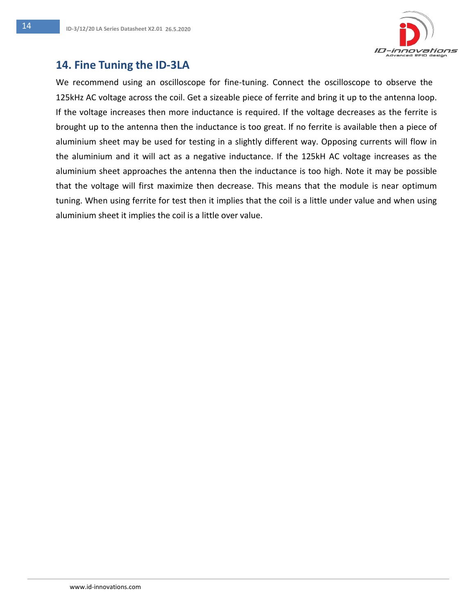

## **14. Fine Tuning the ID-3LA**

We recommend using an oscilloscope for fine-tuning. Connect the oscilloscope to observe the 125kHz AC voltage across the coil. Get a sizeable piece of ferrite and bring it up to the antenna loop. If the voltage increases then more inductance is required. If the voltage decreases as the ferrite is brought up to the antenna then the inductance is too great. If no ferrite is available then a piece of aluminium sheet may be used for testing in a slightly different way. Opposing currents will flow in the aluminium and it will act as a negative inductance. If the 125kH AC voltage increases as the aluminium sheet approaches the antenna then the inductance is too high. Note it may be possible that the voltage will first maximize then decrease. This means that the module is near optimum tuning. When using ferrite for test then it implies that the coil is a little under value and when using aluminium sheet it implies the coil is a little over value.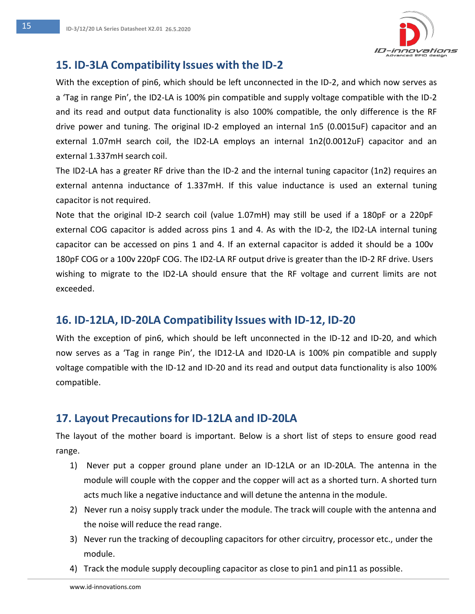

#### **15. ID-3LA Compatibility Issues with the ID-2**

With the exception of pin6, which should be left unconnected in the ID-2, and which now serves as a 'Tag in range Pin', the ID2-LA is 100% pin compatible and supply voltage compatible with the ID-2 and its read and output data functionality is also 100% compatible, the only difference is the RF drive power and tuning. The original ID-2 employed an internal 1n5 (0.0015uF) capacitor and an external 1.07mH search coil, the ID2-LA employs an internal 1n2(0.0012uF) capacitor and an external 1.337mH search coil.

The ID2-LA has a greater RF drive than the ID-2 and the internal tuning capacitor (1n2) requires an external antenna inductance of 1.337mH. If this value inductance is used an external tuning capacitor is not required.

Note that the original ID-2 search coil (value 1.07mH) may still be used if a 180pF or a 220pF external COG capacitor is added across pins 1 and 4. As with the ID-2, the ID2-LA internal tuning capacitor can be accessed on pins 1 and 4. If an external capacitor is added it should be a 100v 180pF COG or a 100v 220pF COG. The ID2-LA RF output drive is greater than the ID-2 RF drive. Users wishing to migrate to the ID2-LA should ensure that the RF voltage and current limits are not exceeded.

#### **16. ID-12LA, ID-20LA Compatibility Issues with ID-12, ID-20**

With the exception of pin6, which should be left unconnected in the ID-12 and ID-20, and which now serves as a 'Tag in range Pin', the ID12-LA and ID20-LA is 100% pin compatible and supply voltage compatible with the ID-12 and ID-20 and its read and output data functionality is also 100% compatible.

#### **17. Layout Precautionsfor ID-12LA and ID-20LA**

The layout of the mother board is important. Below is a short list of steps to ensure good read range.

- 1) Never put a copper ground plane under an ID-12LA or an ID-20LA. The antenna in the module will couple with the copper and the copper will act as a shorted turn. A shorted turn acts much like a negative inductance and will detune the antenna in the module.
- 2) Never run a noisy supply track under the module. The track will couple with the antenna and the noise will reduce the read range.
- 3) Never run the tracking of decoupling capacitors for other circuitry, processor etc., under the module.
- 4) Track the module supply decoupling capacitor as close to pin1 and pin11 as possible.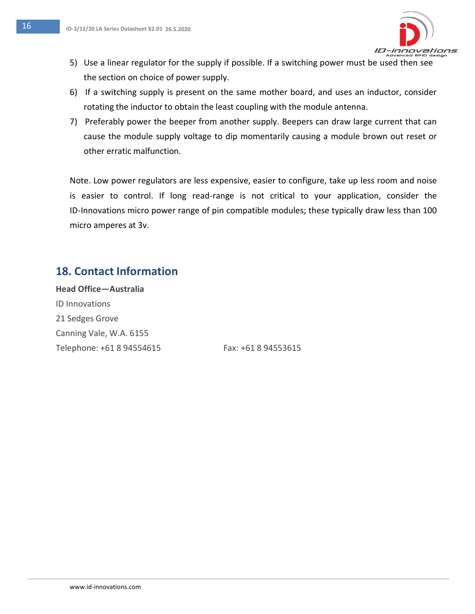

- 5) Use a linear regulator for the supply if possible. If a switching power must be used then see the section on choice of power supply.
- 6) If a switching supply is present on the same mother board, and uses an inductor, consider rotating the inductor to obtain the least coupling with the module antenna.
- 7) Preferably power the beeper from another supply. Beepers can draw large current that can cause the module supply voltage to dip momentarily causing a module brown out reset or other erratic malfunction.

Note. Low power regulators are less expensive, easier to configure, take up less room and noise is easier to control. If long read-range is not critical to your application, consider the ID-Innovations micro power range of pin compatible modules; these typically draw less than 100 micro amperes at 3v.

### **18. Contact Information**

**Head Office—Australia** ID Innovations 21 Sedges Grove Canning Vale, W.A. 6155 Telephone: +61 8 94554615 Fax: +61 8 94553615